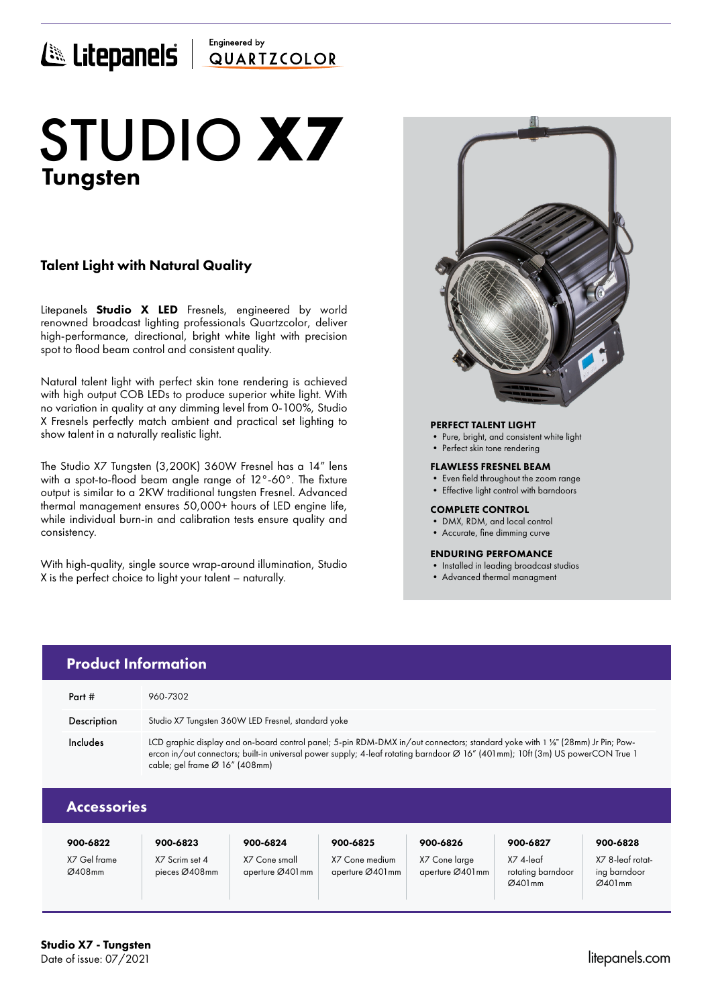## Engineered by E Litepanels QUARTICOLOR

# Tungsten STUDIO **X7**

## Talent Light with Natural Quality

Litepanels **Studio X LED** Fresnels, engineered by world renowned broadcast lighting professionals Quartzcolor, deliver high-performance, directional, bright white light with precision spot to flood beam control and consistent quality.

Natural talent light with perfect skin tone rendering is achieved with high output COB LEDs to produce superior white light. With no variation in quality at any dimming level from 0-100%, Studio X Fresnels perfectly match ambient and practical set lighting to show talent in a naturally realistic light.

The Studio X7 Tungsten (3,200K) 360W Fresnel has a 14" lens with a spot-to-flood beam angle range of 12°-60°. The fixture output is similar to a 2KW traditional tungsten Fresnel. Advanced thermal management ensures 50,000+ hours of LED engine life, while individual burn-in and calibration tests ensure quality and consistency.

With high-quality, single source wrap-around illumination, Studio X is the perfect choice to light your talent – naturally.

> X7 Scrim set 4 pieces Ø408mm

X7 Cone small aperture Ø401mm



#### PERFECT TALENT LIGHT

- Pure, bright, and consistent white light
- Perfect skin tone rendering

## FLAWLESS FRESNEL BEAM

- Even field throughout the zoom range
- Effective light control with barndoors

## COMPLETE CONTROL

- DMX, RDM, and local control
- Accurate, fine dimming curve

## ENDURING PERFOMANCE

• Installed in leading broadcast studios

X7 4-leaf rotating barndoor Ø401mm

• Advanced thermal managment

|                    | <b>Product Information</b>                                                                                                                                                                                                                                                                       |          |          |          |          |          |
|--------------------|--------------------------------------------------------------------------------------------------------------------------------------------------------------------------------------------------------------------------------------------------------------------------------------------------|----------|----------|----------|----------|----------|
| Part #             | 960-7302                                                                                                                                                                                                                                                                                         |          |          |          |          |          |
| Description        | Studio X7 Tungsten 360W LED Fresnel, standard yoke                                                                                                                                                                                                                                               |          |          |          |          |          |
| Includes           | LCD graphic display and on-board control panel; 5-pin RDM-DMX in/out connectors; standard yoke with 1 %" (28mm) Jr Pin; Pow-<br>ercon in/out connectors; built-in universal power supply; 4-leaf rotating barndoor Ø 16" (401mm); 10ft (3m) US powerCON True 1<br>cable; gel frame Ø 16" (408mm) |          |          |          |          |          |
| <b>Accessories</b> |                                                                                                                                                                                                                                                                                                  |          |          |          |          |          |
| 900-6822           | 900-6823                                                                                                                                                                                                                                                                                         | 900-6824 | 900-6825 | 900-6826 | 900-6827 | 900-6828 |

X7 Cone medium aperture Ø401mm X7 Cone large aperture Ø401mm X7 8-leaf rotating barndoor  $Ø401mm$ 

X7 Gel frame Ø408mm